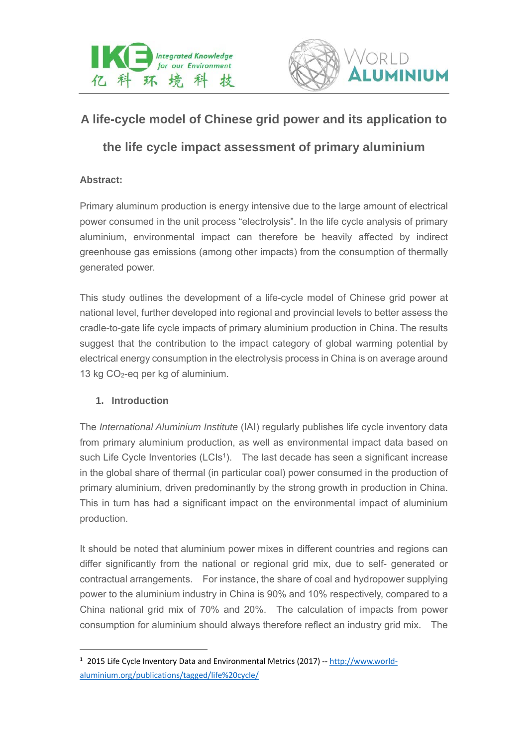



# **A life-cycle model of Chinese grid power and its application to**

## **the life cycle impact assessment of primary aluminium**

## **Abstract:**

Primary aluminum production is energy intensive due to the large amount of electrical power consumed in the unit process "electrolysis". In the life cycle analysis of primary aluminium, environmental impact can therefore be heavily affected by indirect greenhouse gas emissions (among other impacts) from the consumption of thermally generated power.

This study outlines the development of a life-cycle model of Chinese grid power at national level, further developed into regional and provincial levels to better assess the cradle-to-gate life cycle impacts of primary aluminium production in China. The results suggest that the contribution to the impact category of global warming potential by electrical energy consumption in the electrolysis process in China is on average around 13 kg  $CO<sub>2</sub>$ -eq per kg of aluminium.

### **1. Introduction**

The *International Aluminium Institute* (IAI) regularly publishes life cycle inventory data from primary aluminium production, as well as environmental impact data based on such Life Cycle Inventories (LCIs<sup>1</sup>). The last decade has seen a significant increase in the global share of thermal (in particular coal) power consumed in the production of primary aluminium, driven predominantly by the strong growth in production in China. This in turn has had a significant impact on the environmental impact of aluminium production.

It should be noted that aluminium power mixes in different countries and regions can differ significantly from the national or regional grid mix, due to self- generated or contractual arrangements. For instance, the share of coal and hydropower supplying power to the aluminium industry in China is 90% and 10% respectively, compared to a China national grid mix of 70% and 20%. The calculation of impacts from power consumption for aluminium should always therefore reflect an industry grid mix. The

<sup>&</sup>lt;sup>1</sup> 2015 Life Cycle Inventory Data and Environmental Metrics (2017) -- http://www.worldaluminium.org/publications/tagged/life%20cycle/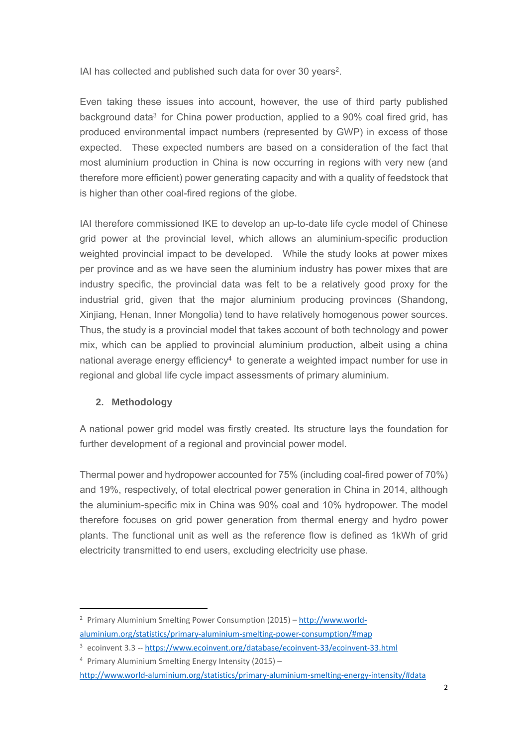IAI has collected and published such data for over 30 years2.

Even taking these issues into account, however, the use of third party published background data<sup>3</sup> for China power production, applied to a 90% coal fired grid, has produced environmental impact numbers (represented by GWP) in excess of those expected. These expected numbers are based on a consideration of the fact that most aluminium production in China is now occurring in regions with very new (and therefore more efficient) power generating capacity and with a quality of feedstock that is higher than other coal-fired regions of the globe.

IAI therefore commissioned IKE to develop an up-to-date life cycle model of Chinese grid power at the provincial level, which allows an aluminium-specific production weighted provincial impact to be developed. While the study looks at power mixes per province and as we have seen the aluminium industry has power mixes that are industry specific, the provincial data was felt to be a relatively good proxy for the industrial grid, given that the major aluminium producing provinces (Shandong, Xinjiang, Henan, Inner Mongolia) tend to have relatively homogenous power sources. Thus, the study is a provincial model that takes account of both technology and power mix, which can be applied to provincial aluminium production, albeit using a china national average energy efficiency<sup>4</sup> to generate a weighted impact number for use in regional and global life cycle impact assessments of primary aluminium.

## **2. Methodology**

A national power grid model was firstly created. Its structure lays the foundation for further development of a regional and provincial power model.

Thermal power and hydropower accounted for 75% (including coal-fired power of 70%) and 19%, respectively, of total electrical power generation in China in 2014, although the aluminium-specific mix in China was 90% coal and 10% hydropower. The model therefore focuses on grid power generation from thermal energy and hydro power plants. The functional unit as well as the reference flow is defined as 1kWh of grid electricity transmitted to end users, excluding electricity use phase.

<sup>2</sup> Primary Aluminium Smelting Power Consumption (2015) – http://www.world‐

aluminium.org/statistics/primary‐aluminium‐smelting‐power‐consumption/#map

<sup>&</sup>lt;sup>3</sup> ecoinvent 3.3 -- https://www.ecoinvent.org/database/ecoinvent-33/ecoinvent-33.html

<sup>4</sup> Primary Aluminium Smelting Energy Intensity (2015) –

http://www.world‐aluminium.org/statistics/primary‐aluminium‐smelting‐energy‐intensity/#data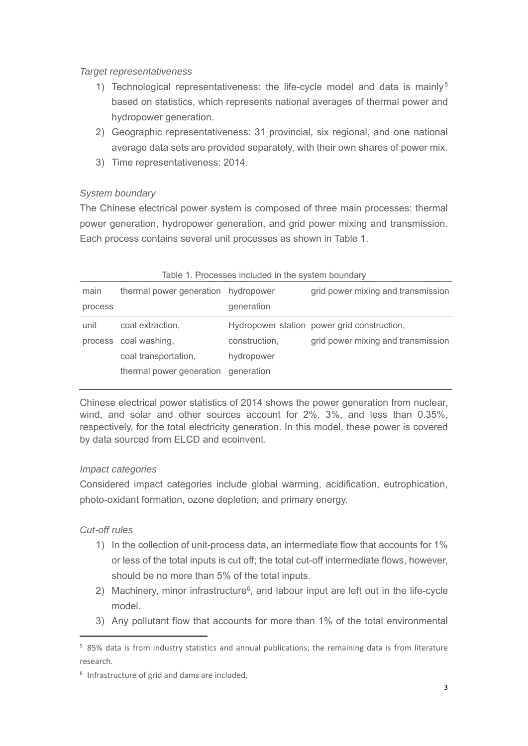#### *Target representativeness*

- 1) Technological representativeness: the life-cycle model and data is mainly<sup>5</sup> based on statistics, which represents national averages of thermal power and hydropower generation.
- 2) Geographic representativeness: 31 provincial, six regional, and one national average data sets are provided separately, with their own shares of power mix.
- 3) Time representativeness: 2014.

## *System boundary*

The Chinese electrical power system is composed of three main processes: thermal power generation, hydropower generation, and grid power mixing and transmission. Each process contains several unit processes as shown in Table 1.

| Table T. Processes included in the system boundary |                                     |               |                                             |  |
|----------------------------------------------------|-------------------------------------|---------------|---------------------------------------------|--|
| main                                               | thermal power generation hydropower |               | grid power mixing and transmission          |  |
| process                                            |                                     | generation    |                                             |  |
| unit                                               | coal extraction,                    |               | Hydropower station power grid construction, |  |
|                                                    | process coal washing,               | construction, | grid power mixing and transmission          |  |
|                                                    | coal transportation,                | hydropower    |                                             |  |
|                                                    | thermal power generation            | generation    |                                             |  |

## Table 1. Processes included in the system boundary

Chinese electrical power statistics of 2014 shows the power generation from nuclear, wind, and solar and other sources account for 2%, 3%, and less than 0.35%, respectively, for the total electricity generation. In this model, these power is covered by data sourced from ELCD and ecoinvent.

### *Impact categories*

Considered impact categories include global warming, acidification, eutrophication, photo-oxidant formation, ozone depletion, and primary energy.

## *Cut-off rules*

- 1) In the collection of unit-process data, an intermediate flow that accounts for 1% or less of the total inputs is cut off; the total cut-off intermediate flows, however, should be no more than 5% of the total inputs.
- 2) Machinery, minor infrastructure<sup>6</sup>, and labour input are left out in the life-cycle model.
- 3) Any pollutant flow that accounts for more than 1% of the total environmental

<sup>5</sup> 85% data is from industry statistics and annual publications; the remaining data is from literature research.

<sup>6</sup> Infrastructure of grid and dams are included.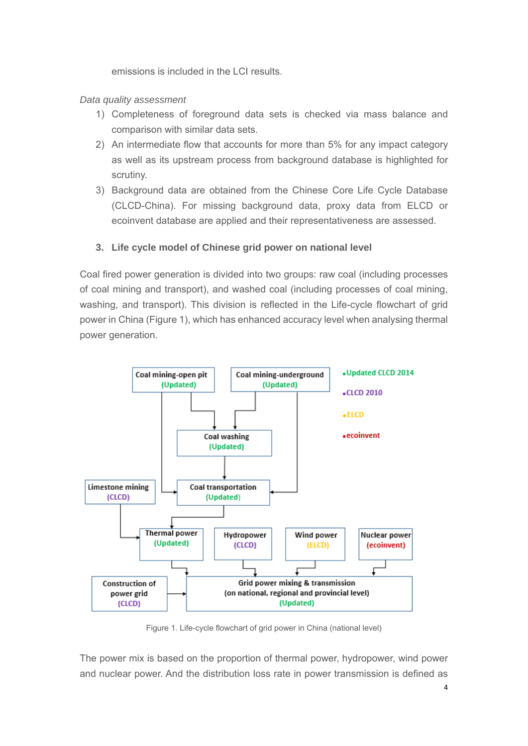emissions is included in the LCI results.

### *Data quality assessment*

- 1) Completeness of foreground data sets is checked via mass balance and comparison with similar data sets.
- 2) An intermediate flow that accounts for more than 5% for any impact category as well as its upstream process from background database is highlighted for scrutiny.
- 3) Background data are obtained from the Chinese Core Life Cycle Database (CLCD-China). For missing background data, proxy data from ELCD or ecoinvent database are applied and their representativeness are assessed.

### **3. Life cycle model of Chinese grid power on national level**

Coal fired power generation is divided into two groups: raw coal (including processes of coal mining and transport), and washed coal (including processes of coal mining, washing, and transport). This division is reflected in the Life-cycle flowchart of grid power in China (Figure 1), which has enhanced accuracy level when analysing thermal power generation.



Figure 1. Life-cycle flowchart of grid power in China (national level)

The power mix is based on the proportion of thermal power, hydropower, wind power and nuclear power. And the distribution loss rate in power transmission is defined as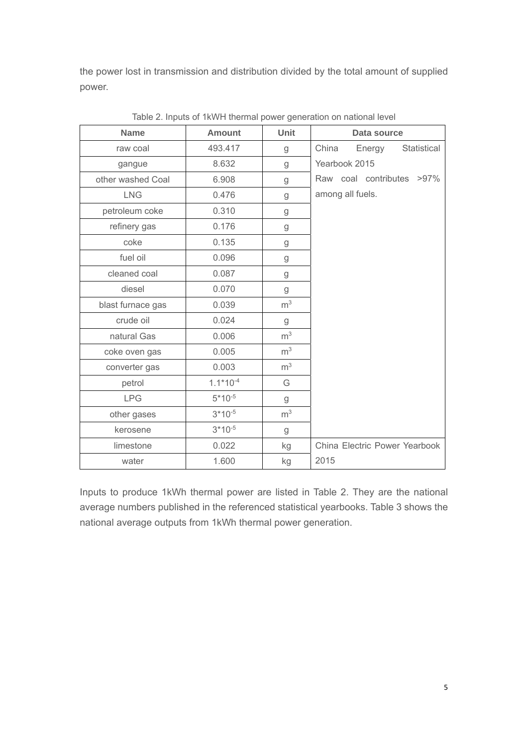the power lost in transmission and distribution divided by the total amount of supplied power.

| <b>Name</b>       | <b>Amount</b> | Unit           | Data source                    |
|-------------------|---------------|----------------|--------------------------------|
| raw coal          | 493.417       | g              | China<br>Statistical<br>Energy |
| gangue            | 8.632         | g              | Yearbook 2015                  |
| other washed Coal | 6.908         | g              | Raw coal contributes >97%      |
| <b>LNG</b>        | 0.476         | g              | among all fuels.               |
| petroleum coke    | 0.310         | g              |                                |
| refinery gas      | 0.176         | g              |                                |
| coke              | 0.135         | g              |                                |
| fuel oil          | 0.096         | g              |                                |
| cleaned coal      | 0.087         | g              |                                |
| diesel            | 0.070         | g              |                                |
| blast furnace gas | 0.039         | m <sup>3</sup> |                                |
| crude oil         | 0.024         | g              |                                |
| natural Gas       | 0.006         | m <sup>3</sup> |                                |
| coke oven gas     | 0.005         | m <sup>3</sup> |                                |
| converter gas     | 0.003         | m <sup>3</sup> |                                |
| petrol            | $1.1*10^{-4}$ | G              |                                |
| <b>LPG</b>        | $5*10^{-5}$   | g              |                                |
| other gases       | $3*10^{-5}$   | m <sup>3</sup> |                                |
| kerosene          | $3*10^{-5}$   | g              |                                |
| limestone         | 0.022         | kg             | China Electric Power Yearbook  |
| water             | 1.600         | kg             | 2015                           |

Table 2. Inputs of 1kWH thermal power generation on national level

Inputs to produce 1kWh thermal power are listed in Table 2. They are the national average numbers published in the referenced statistical yearbooks. Table 3 shows the national average outputs from 1kWh thermal power generation.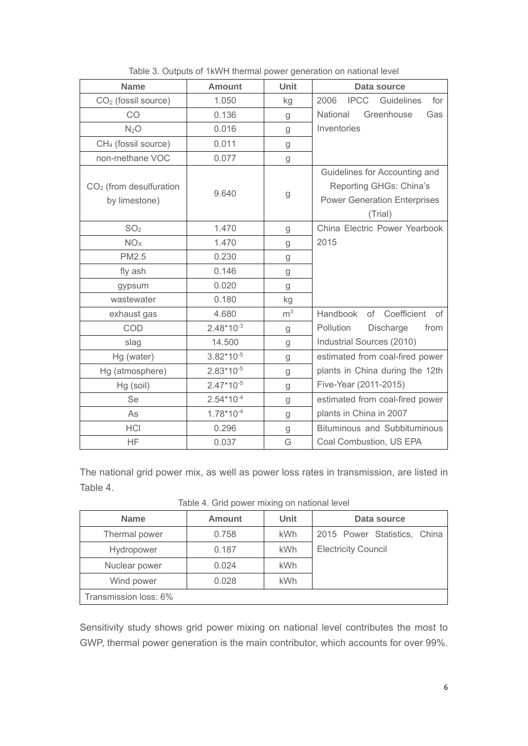| <b>Name</b>                                | <b>Amount</b>  | Unit           | Data source                                                                                                |
|--------------------------------------------|----------------|----------------|------------------------------------------------------------------------------------------------------------|
| CO <sub>2</sub> (fossil source)            | 1.050          | kg             | <b>IPCC</b><br>2006<br>Guidelines<br>for                                                                   |
| CO                                         | 0.136          | g              | Greenhouse<br>National<br>Gas                                                                              |
| N <sub>2</sub> O                           | 0.016          | g              | Inventories                                                                                                |
| CH <sub>4</sub> (fossil source)            | 0.011          | g              |                                                                                                            |
| non-methane VOC                            | 0.077          | g              |                                                                                                            |
| $CO2$ (from desulfuration<br>by limestone) | 9.640          | g              | Guidelines for Accounting and<br>Reporting GHGs: China's<br><b>Power Generation Enterprises</b><br>(Trial) |
| SO <sub>2</sub>                            | 1.470          | g              | China Electric Power Yearbook                                                                              |
| NO <sub>X</sub>                            | 1.470          | g              | 2015                                                                                                       |
| <b>PM2.5</b>                               | 0.230          | g              |                                                                                                            |
| fly ash                                    | 0.146          | g              |                                                                                                            |
| gypsum                                     | 0.020          | g              |                                                                                                            |
| wastewater                                 | 0.180          | kg             |                                                                                                            |
| exhaust gas                                | 4.680          | m <sup>3</sup> | Handbook<br>of Coefficient<br>Οf                                                                           |
| <b>COD</b>                                 | $2.48*10^{-3}$ | g              | Pollution<br>Discharge<br>from                                                                             |
| slag                                       | 14.500         | g              | Industrial Sources (2010)                                                                                  |
| Hg (water)                                 | $3.82*10^{-5}$ | g              | estimated from coal-fired power                                                                            |
| Hg (atmosphere)                            | $2.83*10^{-5}$ | g              | plants in China during the 12th                                                                            |
| Hg (soil)                                  | $2.47*10^{-5}$ | g              | Five-Year (2011-2015)                                                                                      |
| Se                                         | $2.54*10^{-4}$ | g              | estimated from coal-fired power                                                                            |
| As                                         | $1.78*10^{-4}$ | g              | plants in China in 2007                                                                                    |
| <b>HCI</b>                                 | 0.296          | g              | <b>Bituminous and Subbituminous</b>                                                                        |
| ΗF                                         | 0.037          | G              | Coal Combustion, US EPA                                                                                    |

Table 3. Outputs of 1kWH thermal power generation on national level

The national grid power mix, as well as power loss rates in transmission, are listed in Table 4.

Table 4. Grid power mixing on national level

| <b>Name</b>           | <b>Amount</b> | <b>Unit</b> | Data source                  |  |  |
|-----------------------|---------------|-------------|------------------------------|--|--|
| Thermal power         | 0.758         | kWh         | 2015 Power Statistics, China |  |  |
| Hydropower            | 0.187         | kWh         | <b>Electricity Council</b>   |  |  |
| Nuclear power         | 0.024         | <b>kWh</b>  |                              |  |  |
| Wind power            | 0.028         | <b>kWh</b>  |                              |  |  |
| Transmission loss: 6% |               |             |                              |  |  |

Sensitivity study shows grid power mixing on national level contributes the most to GWP, thermal power generation is the main contributor, which accounts for over 99%.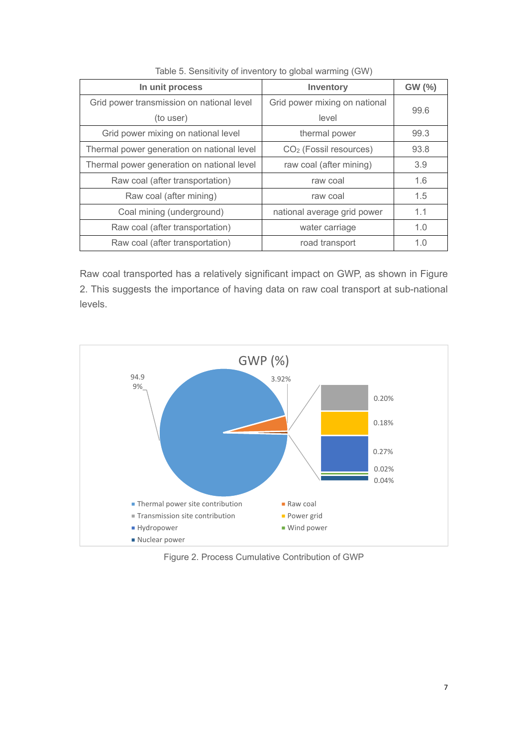| In unit process                            | <b>Inventory</b>                   | GW (%) |
|--------------------------------------------|------------------------------------|--------|
| Grid power transmission on national level  | Grid power mixing on national      | 99.6   |
| (to user)                                  | level                              |        |
| Grid power mixing on national level        | thermal power                      | 99.3   |
| Thermal power generation on national level | CO <sub>2</sub> (Fossil resources) | 93.8   |
| Thermal power generation on national level | raw coal (after mining)            | 3.9    |
| Raw coal (after transportation)            | raw coal                           | 1.6    |
| Raw coal (after mining)                    | raw coal                           | 1.5    |
| Coal mining (underground)                  | national average grid power        | 1.1    |
| Raw coal (after transportation)            | water carriage                     | 1.0    |
| Raw coal (after transportation)            | road transport                     | 1.0    |

Table 5. Sensitivity of inventory to global warming (GW)

Raw coal transported has a relatively significant impact on GWP, as shown in Figure 2. This suggests the importance of having data on raw coal transport at sub-national levels.



Figure 2. Process Cumulative Contribution of GWP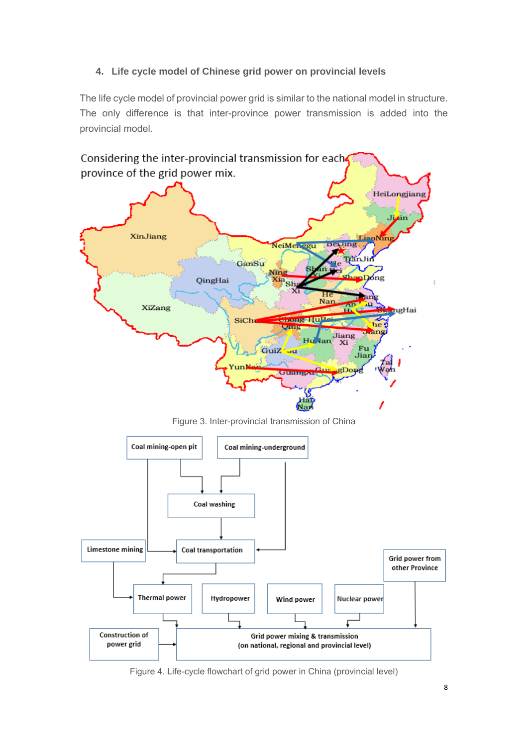## **4. Life cycle model of Chinese grid power on provincial levels**

The life cycle model of provincial power grid is similar to the national model in structure. The only difference is that inter-province power transmission is added into the provincial model.



Figure 4. Life-cycle flowchart of grid power in China (provincial level)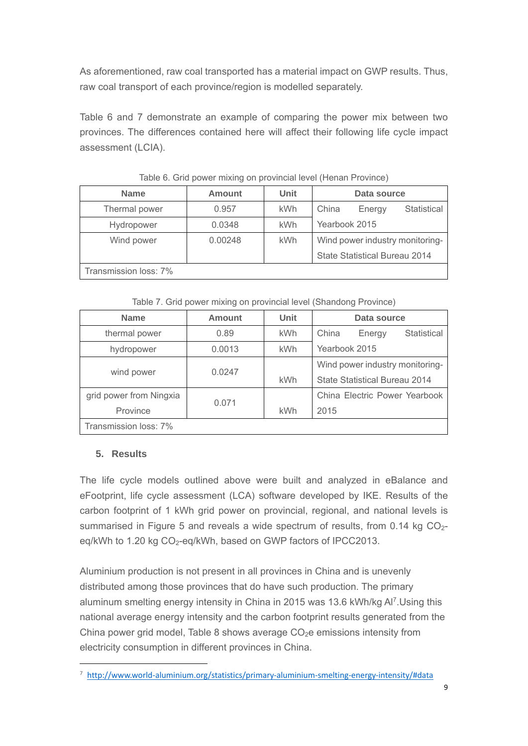As aforementioned, raw coal transported has a material impact on GWP results. Thus, raw coal transport of each province/region is modelled separately.

Table 6 and 7 demonstrate an example of comparing the power mix between two provinces. The differences contained here will affect their following life cycle impact assessment (LCIA).

| <b>Name</b>           | <b>Amount</b> | <b>Unit</b> | Data source                           |  |
|-----------------------|---------------|-------------|---------------------------------------|--|
| Thermal power         | 0.957         | kWh         | China<br><b>Statistical</b><br>Energy |  |
| Hydropower            | 0.0348        | <b>kWh</b>  | Yearbook 2015                         |  |
| Wind power            | 0.00248       | kWh         | Wind power industry monitoring-       |  |
|                       |               |             | State Statistical Bureau 2014         |  |
| Transmission loss: 7% |               |             |                                       |  |

Table 6. Grid power mixing on provincial level (Henan Province)

Table 7. Grid power mixing on provincial level (Shandong Province)

| <b>Name</b>             | Amount | <b>Unit</b>                   | Data source                     |  |  |
|-------------------------|--------|-------------------------------|---------------------------------|--|--|
| thermal power           | 0.89   | <b>kWh</b>                    | China<br>Statistical<br>Energy  |  |  |
| hydropower              | 0.0013 | <b>kWh</b>                    | Yearbook 2015                   |  |  |
|                         |        |                               | Wind power industry monitoring- |  |  |
| wind power              | 0.0247 | <b>kWh</b>                    | State Statistical Bureau 2014   |  |  |
| grid power from Ningxia |        | China Electric Power Yearbook |                                 |  |  |
| Province                | 0.071  | <b>kWh</b><br>2015            |                                 |  |  |
| Transmission loss: 7%   |        |                               |                                 |  |  |

## **5. Results**

The life cycle models outlined above were built and analyzed in eBalance and eFootprint, life cycle assessment (LCA) software developed by IKE. Results of the carbon footprint of 1 kWh grid power on provincial, regional, and national levels is summarised in Figure 5 and reveals a wide spectrum of results, from 0.14 kg CO<sub>2</sub>eq/kWh to 1.20 kg CO<sub>2</sub>-eq/kWh, based on GWP factors of IPCC2013.

Aluminium production is not present in all provinces in China and is unevenly distributed among those provinces that do have such production. The primary aluminum smelting energy intensity in China in 2015 was 13.6 kWh/kg Al7.Using this national average energy intensity and the carbon footprint results generated from the China power grid model, Table 8 shows average  $CO<sub>2</sub>e$  emissions intensity from electricity consumption in different provinces in China.

<sup>7</sup> http://www.world-aluminium.org/statistics/primary-aluminium-smelting-energy-intensity/#data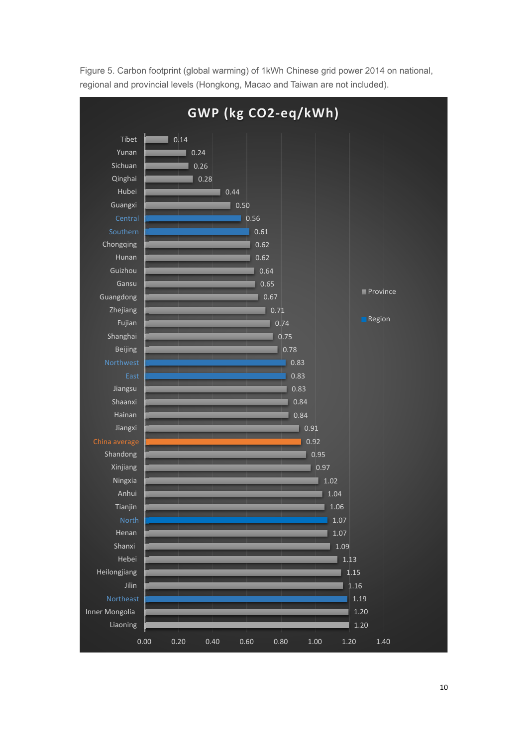

Figure 5. Carbon footprint (global warming) of 1kWh Chinese grid power 2014 on national, regional and provincial levels (Hongkong, Macao and Taiwan are not included).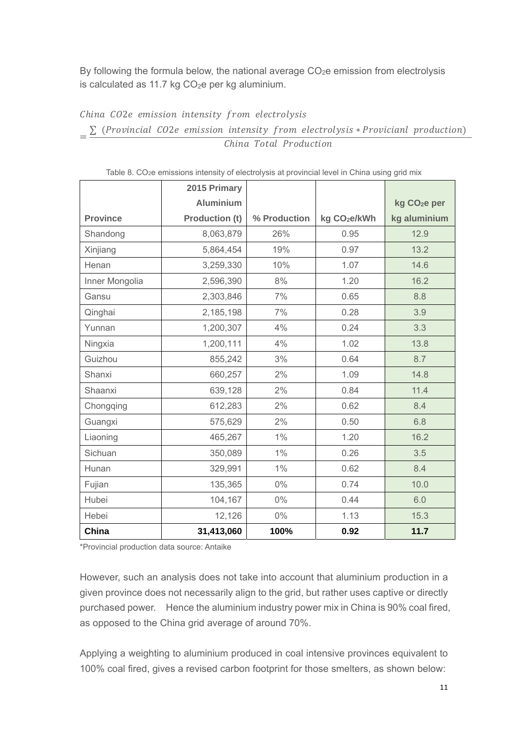By following the formula below, the national average  $CO<sub>2</sub>e$  emission from electrolysis is calculated as 11.7 kg  $CO<sub>2</sub>e$  per kg aluminium.

China CO2e emission intensity from electrolysis

 $=\frac{\sum_{i=1}^{n} (Provincial \; CO2e \; emission \; intensity \; from \; electrolysis * Provician \; production)}{C}$ China Total Production

|                 | 2015 Primary          |              |                          |                          |
|-----------------|-----------------------|--------------|--------------------------|--------------------------|
|                 | <b>Aluminium</b>      |              |                          | kg CO <sub>2</sub> e per |
| <b>Province</b> | <b>Production (t)</b> | % Production | kg CO <sub>2</sub> e/kWh | kg aluminium             |
| Shandong        | 8,063,879             | 26%          | 0.95                     | 12.9                     |
| Xinjiang        | 5,864,454             | 19%          | 0.97                     | 13.2                     |
| Henan           | 3,259,330             | 10%          | 1.07                     | 14.6                     |
| Inner Mongolia  | 2,596,390             | 8%           | 1.20                     | 16.2                     |
| Gansu           | 2,303,846             | 7%           | 0.65                     | 8.8                      |
| Qinghai         | 2,185,198             | 7%           | 0.28                     | 3.9                      |
| Yunnan          | 1,200,307             | 4%           | 0.24                     | 3.3                      |
| Ningxia         | 1,200,111             | 4%           | 1.02                     | 13.8                     |
| Guizhou         | 855,242               | 3%           | 0.64                     | 8.7                      |
| Shanxi          | 660,257               | 2%           | 1.09                     | 14.8                     |
| Shaanxi         | 639,128               | 2%           | 0.84                     | 11.4                     |
| Chongqing       | 612,283               | 2%           | 0.62                     | 8.4                      |
| Guangxi         | 575,629               | 2%           | 0.50                     | 6.8                      |
| Liaoning        | 465,267               | $1\%$        | 1.20                     | 16.2                     |
| Sichuan         | 350,089               | 1%           | 0.26                     | 3.5                      |
| Hunan           | 329,991               | $1\%$        | 0.62                     | 8.4                      |
| Fujian          | 135,365               | $0\%$        | 0.74                     | 10.0                     |
| Hubei           | 104,167               | $0\%$        | 0.44                     | 6.0                      |
| Hebei           | 12,126                | $0\%$        | 1.13                     | 15.3                     |
| China           | 31,413,060            | 100%         | 0.92                     | 11.7                     |

Table 8. CO<sub>2</sub>e emissions intensity of electrolysis at provincial level in China using grid mix

\*Provincial production data source: Antaike

However, such an analysis does not take into account that aluminium production in a given province does not necessarily align to the grid, but rather uses captive or directly purchased power. Hence the aluminium industry power mix in China is 90% coal fired, as opposed to the China grid average of around 70%.

Applying a weighting to aluminium produced in coal intensive provinces equivalent to 100% coal fired, gives a revised carbon footprint for those smelters, as shown below: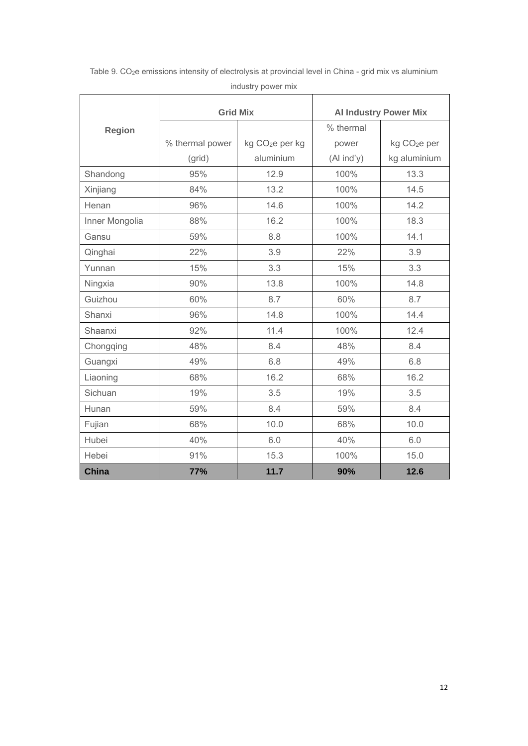|                | <b>Grid Mix</b> |                             | <b>Al Industry Power Mix</b> |                          |
|----------------|-----------------|-----------------------------|------------------------------|--------------------------|
| <b>Region</b>  |                 |                             | % thermal                    |                          |
|                | % thermal power | kg CO <sub>2</sub> e per kg | power                        | kg CO <sub>2</sub> e per |
|                | (grid)          | aluminium                   | (Al ind'y)                   | kg aluminium             |
| Shandong       | 95%             | 12.9                        | 100%                         | 13.3                     |
| Xinjiang       | 84%             | 13.2                        | 100%                         | 14.5                     |
| Henan          | 96%             | 14.6                        | 100%                         | 14.2                     |
| Inner Mongolia | 88%             | 16.2                        | 100%                         | 18.3                     |
| Gansu          | 59%             | 8.8                         | 100%                         | 14.1                     |
| Qinghai        | 22%             | 3.9                         | 22%                          | 3.9                      |
| Yunnan         | 15%             | 3.3                         | 15%                          | 3.3                      |
| Ningxia        | 90%             | 13.8                        | 100%                         | 14.8                     |
| Guizhou        | 60%             | 8.7                         | 60%                          | 8.7                      |
| Shanxi         | 96%             | 14.8                        | 100%                         | 14.4                     |
| Shaanxi        | 92%             | 11.4                        | 100%                         | 12.4                     |
| Chongqing      | 48%             | 8.4                         | 48%                          | 8.4                      |
| Guangxi        | 49%             | 6.8                         | 49%                          | 6.8                      |
| Liaoning       | 68%             | 16.2                        | 68%                          | 16.2                     |
| Sichuan        | 19%             | 3.5                         | 19%                          | 3.5                      |
| Hunan          | 59%             | 8.4                         | 59%                          | 8.4                      |
| Fujian         | 68%             | 10.0                        | 68%                          | 10.0                     |
| Hubei          | 40%             | 6.0                         | 40%                          | 6.0                      |
| Hebei          | 91%             | 15.3                        | 100%                         | 15.0                     |
| <b>China</b>   | <b>77%</b>      | 11.7                        | 90%                          | 12.6                     |

Table 9. CO<sub>2</sub>e emissions intensity of electrolysis at provincial level in China - grid mix vs aluminium industry power mix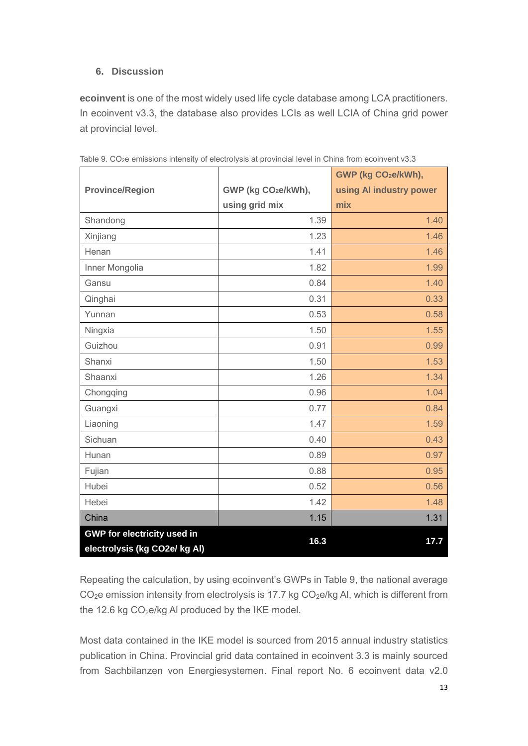## **6. Discussion**

**ecoinvent** is one of the most widely used life cycle database among LCA practitioners. In ecoinvent v3.3, the database also provides LCIs as well LCIA of China grid power at provincial level.

|                                    |                                 | GWP (kg CO <sub>2</sub> e/kWh), |
|------------------------------------|---------------------------------|---------------------------------|
| <b>Province/Region</b>             | GWP (kg CO <sub>2</sub> e/kWh), | using AI industry power         |
|                                    | using grid mix                  | mix                             |
| Shandong                           | 1.39                            | 1.40                            |
| Xinjiang                           | 1.23                            | 1.46                            |
| Henan                              | 1.41                            | 1.46                            |
| Inner Mongolia                     | 1.82                            | 1.99                            |
| Gansu                              | 0.84                            | 1.40                            |
| Qinghai                            | 0.31                            | 0.33                            |
| Yunnan                             | 0.53                            | 0.58                            |
| Ningxia                            | 1.50                            | 1.55                            |
| Guizhou                            | 0.91                            | 0.99                            |
| Shanxi                             | 1.50                            | 1.53                            |
| Shaanxi                            | 1.26                            | 1.34                            |
| Chongqing                          | 0.96                            | 1.04                            |
| Guangxi                            | 0.77                            | 0.84                            |
| Liaoning                           | 1.47                            | 1.59                            |
| Sichuan                            | 0.40                            | 0.43                            |
| Hunan                              | 0.89                            | 0.97                            |
| Fujian                             | 0.88                            | 0.95                            |
| Hubei                              | 0.52                            | 0.56                            |
| Hebei                              | 1.42                            | 1.48                            |
| China                              | 1.15                            | 1.31                            |
| <b>GWP for electricity used in</b> | 16.3                            | 17.7                            |
| electrolysis (kg CO2e/ kg Al)      |                                 |                                 |

Table 9. CO<sub>2</sub>e emissions intensity of electrolysis at provincial level in China from ecoinvent v3.3

Repeating the calculation, by using ecoinvent's GWPs in Table 9, the national average  $CO<sub>2</sub>e$  emission intensity from electrolysis is 17.7 kg  $CO<sub>2</sub>e/kg$  Al, which is different from the 12.6 kg  $CO<sub>2</sub>e/kg$  Al produced by the IKE model.

Most data contained in the IKE model is sourced from 2015 annual industry statistics publication in China. Provincial grid data contained in ecoinvent 3.3 is mainly sourced from Sachbilanzen von Energiesystemen. Final report No. 6 ecoinvent data v2.0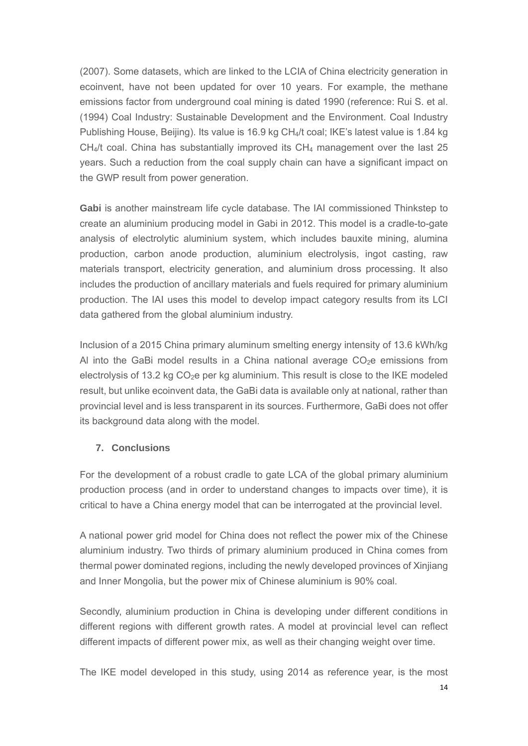(2007). Some datasets, which are linked to the LCIA of China electricity generation in ecoinvent, have not been updated for over 10 years. For example, the methane emissions factor from underground coal mining is dated 1990 (reference: Rui S. et al. (1994) Coal Industry: Sustainable Development and the Environment. Coal Industry Publishing House, Beijing). Its value is 16.9 kg CH<sub>4</sub>/t coal; IKE's latest value is 1.84 kg  $CH<sub>4</sub>/t$  coal. China has substantially improved its  $CH<sub>4</sub>$  management over the last 25 years. Such a reduction from the coal supply chain can have a significant impact on the GWP result from power generation.

**Gabi** is another mainstream life cycle database. The IAI commissioned Thinkstep to create an aluminium producing model in Gabi in 2012. This model is a cradle-to-gate analysis of electrolytic aluminium system, which includes bauxite mining, alumina production, carbon anode production, aluminium electrolysis, ingot casting, raw materials transport, electricity generation, and aluminium dross processing. It also includes the production of ancillary materials and fuels required for primary aluminium production. The IAI uses this model to develop impact category results from its LCI data gathered from the global aluminium industry.

Inclusion of a 2015 China primary aluminum smelting energy intensity of 13.6 kWh/kg Al into the GaBi model results in a China national average  $CO<sub>2</sub>e$  emissions from electrolysis of 13.2 kg  $CO<sub>2</sub>e$  per kg aluminium. This result is close to the IKE modeled result, but unlike ecoinvent data, the GaBi data is available only at national, rather than provincial level and is less transparent in its sources. Furthermore, GaBi does not offer its background data along with the model.

### **7. Conclusions**

For the development of a robust cradle to gate LCA of the global primary aluminium production process (and in order to understand changes to impacts over time), it is critical to have a China energy model that can be interrogated at the provincial level.

A national power grid model for China does not reflect the power mix of the Chinese aluminium industry. Two thirds of primary aluminium produced in China comes from thermal power dominated regions, including the newly developed provinces of Xinjiang and Inner Mongolia, but the power mix of Chinese aluminium is 90% coal.

Secondly, aluminium production in China is developing under different conditions in different regions with different growth rates. A model at provincial level can reflect different impacts of different power mix, as well as their changing weight over time.

The IKE model developed in this study, using 2014 as reference year, is the most